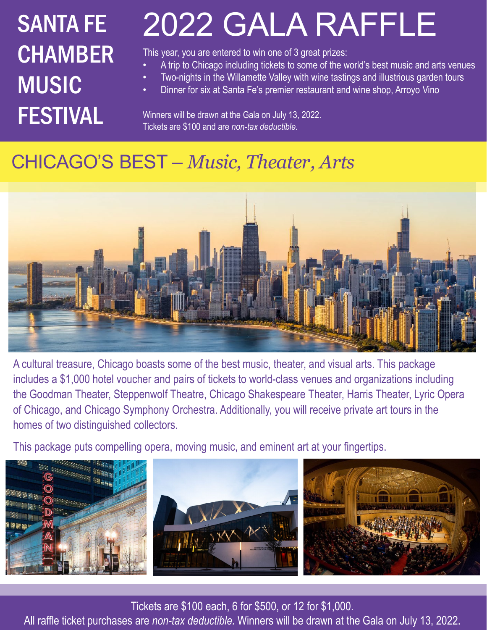# **CHAMBER** MUSIC FESTIVAL

## SANTA FE 2022 GALA RAFFLE

This year, you are entered to win one of 3 great prizes:

- A trip to Chicago including tickets to some of the world's best music and arts venues
- Two-nights in the Willamette Valley with wine tastings and illustrious garden tours
- Dinner for six at Santa Fe's premier restaurant and wine shop, Arroyo Vino

Winners will be drawn at the Gala on July 13, 2022. Tickets are \$100 and are *non-tax deductible.* 

### CHICAGO'S BEST – *Music, Theater, Arts*



A cultural treasure, Chicago boasts some of the best music, theater, and visual arts. This package includes a \$1,000 hotel voucher and pairs of tickets to world-class venues and organizations including the Goodman Theater, Steppenwolf Theatre, Chicago Shakespeare Theater, Harris Theater, Lyric Opera of Chicago, and Chicago Symphony Orchestra. Additionally, you will receive private art tours in the homes of two distinguished collectors.

This package puts compelling opera, moving music, and eminent art at your fingertips.



Tickets are \$100 each, 6 for \$500, or 12 for \$1,000.

All raffle ticket purchases are *non-tax deductible.* Winners will be drawn at the Gala on July 13, 2022.